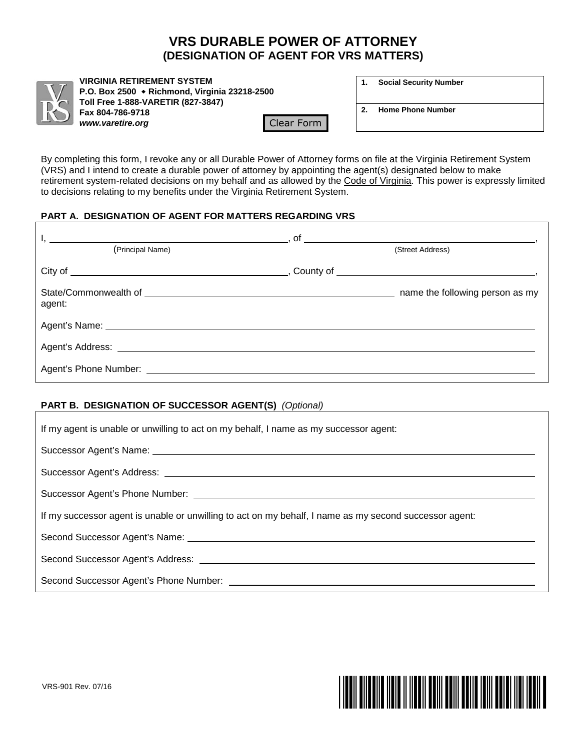# **VRS DURABLE POWER OF ATTORNEY (DESIGNATION OF AGENT FOR VRS MATTERS)**



**VIRGINIA RETIREMENT SYSTEM P.O. Box 2500 Richmond, Virginia 23218-2500 Toll Free 1-888-VARETIR (827-3847) Fax 804-786-9718** *www.varetire.org* Clear Form

| <b>Social Security Number</b> | 1. |  |  |  |
|-------------------------------|----|--|--|--|
|-------------------------------|----|--|--|--|

**2. Home Phone Number**

By completing this form, I revoke any or all Durable Power of Attorney forms on file at the Virginia Retirement System (VRS) and I intend to create a durable power of attorney by appointing the agent(s) designated below to make retirement system-related decisions on my behalf and as allowed by the Code of Virginia. This power is expressly limited to decisions relating to my benefits under the Virginia Retirement System.

### **PART A. DESIGNATION OF AGENT FOR MATTERS REGARDING VRS**

| (Principal Name) | (Street Address)                |  |  |
|------------------|---------------------------------|--|--|
|                  |                                 |  |  |
| agent:           | name the following person as my |  |  |
|                  |                                 |  |  |
|                  |                                 |  |  |
|                  |                                 |  |  |

# **PART B. DESIGNATION OF SUCCESSOR AGENT(S)** *(Optional)*

| If my agent is unable or unwilling to act on my behalf, I name as my successor agent:                                                                                                                                         |
|-------------------------------------------------------------------------------------------------------------------------------------------------------------------------------------------------------------------------------|
| Successor Agent's Name: 1988 and 2008 and 2008 and 2008 and 2008 and 2008 and 2008 and 2008 and 2008 and 2008 and 2008 and 2008 and 2008 and 2008 and 2008 and 2008 and 2008 and 2008 and 2008 and 2008 and 2008 and 2008 and |
|                                                                                                                                                                                                                               |
|                                                                                                                                                                                                                               |
| If my successor agent is unable or unwilling to act on my behalf, I name as my second successor agent:                                                                                                                        |
|                                                                                                                                                                                                                               |
|                                                                                                                                                                                                                               |
|                                                                                                                                                                                                                               |

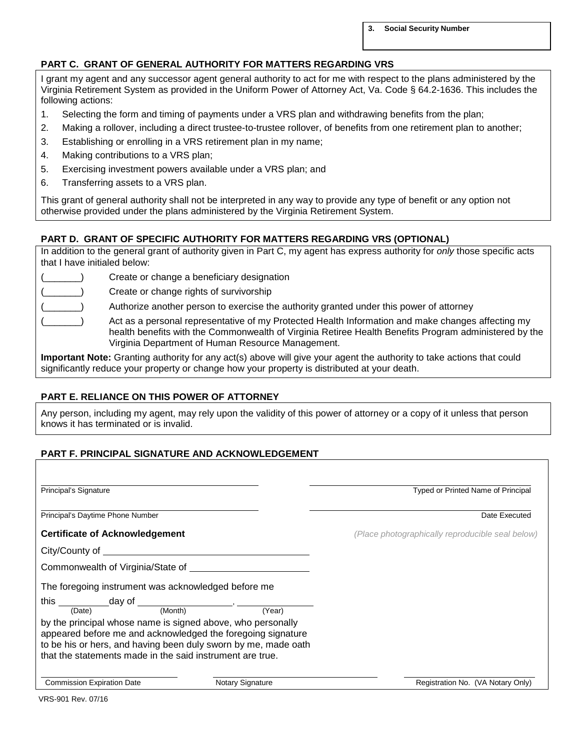**3. Social Security Number**

### **PART C. GRANT OF GENERAL AUTHORITY FOR MATTERS REGARDING VRS**

I grant my agent and any successor agent general authority to act for me with respect to the plans administered by the Virginia Retirement System as provided in the Uniform Power of Attorney Act, Va. Code § 64.2-1636. This includes the following actions:

- 1. Selecting the form and timing of payments under a VRS plan and withdrawing benefits from the plan;
- 2. Making a rollover, including a direct trustee-to-trustee rollover, of benefits from one retirement plan to another;
- 3. Establishing or enrolling in a VRS retirement plan in my name;
- 4. Making contributions to a VRS plan;
- 5. Exercising investment powers available under a VRS plan; and
- 6. Transferring assets to a VRS plan.

This grant of general authority shall not be interpreted in any way to provide any type of benefit or any option not otherwise provided under the plans administered by the Virginia Retirement System.

#### **PART D. GRANT OF SPECIFIC AUTHORITY FOR MATTERS REGARDING VRS (OPTIONAL)**

In addition to the general grant of authority given in Part C, my agent has express authority for *only* those specific acts that I have initialed below:

| $\sim$  |  |
|---------|--|
| and and |  |
|         |  |

Create or change a beneficiary designation

Create or change rights of survivorship

Authorize another person to exercise the authority granted under this power of attorney

Act as a personal representative of my Protected Health Information and make changes affecting my health benefits with the Commonwealth of Virginia Retiree Health Benefits Program administered by the Virginia Department of Human Resource Management.

**Important Note:** Granting authority for any act(s) above will give your agent the authority to take actions that could significantly reduce your property or change how your property is distributed at your death.

#### **PART E. RELIANCE ON THIS POWER OF ATTORNEY**

Any person, including my agent, may rely upon the validity of this power of attorney or a copy of it unless that person knows it has terminated or is invalid.

### **PART F. PRINCIPAL SIGNATURE AND ACKNOWLEDGEMENT**

| Principal's Signature                                                                                                                                                                                                                |                         | Typed or Printed Name of Principal               |  |
|--------------------------------------------------------------------------------------------------------------------------------------------------------------------------------------------------------------------------------------|-------------------------|--------------------------------------------------|--|
| Principal's Daytime Phone Number                                                                                                                                                                                                     |                         | Date Executed                                    |  |
| <b>Certificate of Acknowledgement</b>                                                                                                                                                                                                |                         | (Place photographically reproducible seal below) |  |
| City/County of <u>contract and the contract of the contract of the contract of the contract of the contract of the contract of the contract of the contract of the contract of the contract of the contract of the contract of t</u> |                         |                                                  |  |
|                                                                                                                                                                                                                                      |                         |                                                  |  |
| The foregoing instrument was acknowledged before me                                                                                                                                                                                  |                         |                                                  |  |
| this $\frac{1}{\text{(Date)}}$ day of $\frac{1}{\text{(Month)}}$ (Month)                                                                                                                                                             |                         |                                                  |  |
| by the principal whose name is signed above, who personally<br>appeared before me and acknowledged the foregoing signature<br>to be his or hers, and having been duly sworn by me, made oath                                         |                         |                                                  |  |
| that the statements made in the said instrument are true.                                                                                                                                                                            |                         |                                                  |  |
| <b>Commission Expiration Date</b>                                                                                                                                                                                                    | <b>Notary Signature</b> | Registration No. (VA Notary Only)                |  |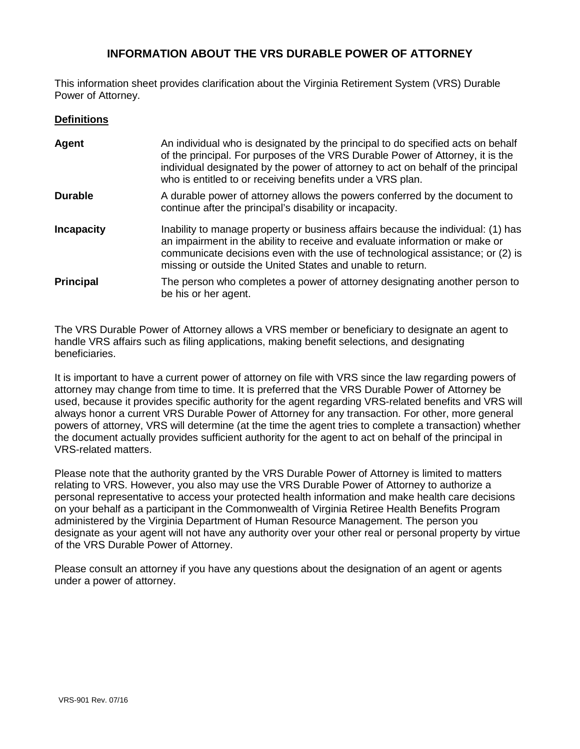# **INFORMATION ABOUT THE VRS DURABLE POWER OF ATTORNEY**

This information sheet provides clarification about the Virginia Retirement System (VRS) Durable Power of Attorney.

#### **Definitions**

| Agent             | An individual who is designated by the principal to do specified acts on behalf<br>of the principal. For purposes of the VRS Durable Power of Attorney, it is the<br>individual designated by the power of attorney to act on behalf of the principal<br>who is entitled to or receiving benefits under a VRS plan. |
|-------------------|---------------------------------------------------------------------------------------------------------------------------------------------------------------------------------------------------------------------------------------------------------------------------------------------------------------------|
| <b>Durable</b>    | A durable power of attorney allows the powers conferred by the document to<br>continue after the principal's disability or incapacity.                                                                                                                                                                              |
| <b>Incapacity</b> | Inability to manage property or business affairs because the individual: (1) has<br>an impairment in the ability to receive and evaluate information or make or<br>communicate decisions even with the use of technological assistance; or (2) is<br>missing or outside the United States and unable to return.     |
| <b>Principal</b>  | The person who completes a power of attorney designating another person to<br>be his or her agent.                                                                                                                                                                                                                  |

The VRS Durable Power of Attorney allows a VRS member or beneficiary to designate an agent to handle VRS affairs such as filing applications, making benefit selections, and designating beneficiaries.

It is important to have a current power of attorney on file with VRS since the law regarding powers of attorney may change from time to time. It is preferred that the VRS Durable Power of Attorney be used, because it provides specific authority for the agent regarding VRS-related benefits and VRS will always honor a current VRS Durable Power of Attorney for any transaction. For other, more general powers of attorney, VRS will determine (at the time the agent tries to complete a transaction) whether the document actually provides sufficient authority for the agent to act on behalf of the principal in VRS-related matters.

Please note that the authority granted by the VRS Durable Power of Attorney is limited to matters relating to VRS. However, you also may use the VRS Durable Power of Attorney to authorize a personal representative to access your protected health information and make health care decisions on your behalf as a participant in the Commonwealth of Virginia Retiree Health Benefits Program administered by the Virginia Department of Human Resource Management. The person you designate as your agent will not have any authority over your other real or personal property by virtue of the VRS Durable Power of Attorney.

Please consult an attorney if you have any questions about the designation of an agent or agents under a power of attorney.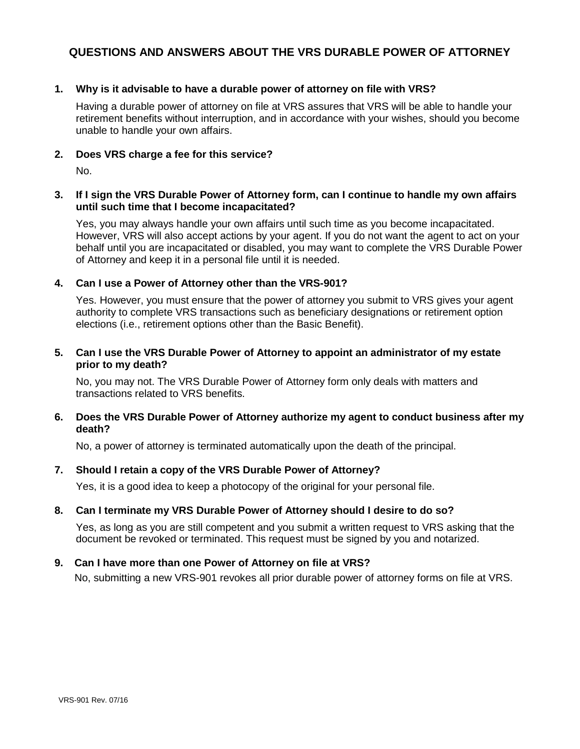# **QUESTIONS AND ANSWERS ABOUT THE VRS DURABLE POWER OF ATTORNEY**

#### **1. Why is it advisable to have a durable power of attorney on file with VRS?**

Having a durable power of attorney on file at VRS assures that VRS will be able to handle your retirement benefits without interruption, and in accordance with your wishes, should you become unable to handle your own affairs.

#### **2. Does VRS charge a fee for this service?**

No.

#### **3. If I sign the VRS Durable Power of Attorney form, can I continue to handle my own affairs until such time that I become incapacitated?**

Yes, you may always handle your own affairs until such time as you become incapacitated. However, VRS will also accept actions by your agent. If you do not want the agent to act on your behalf until you are incapacitated or disabled, you may want to complete the VRS Durable Power of Attorney and keep it in a personal file until it is needed.

#### **4. Can I use a Power of Attorney other than the VRS-901?**

Yes. However, you must ensure that the power of attorney you submit to VRS gives your agent authority to complete VRS transactions such as beneficiary designations or retirement option elections (i.e., retirement options other than the Basic Benefit).

#### **5. Can I use the VRS Durable Power of Attorney to appoint an administrator of my estate prior to my death?**

No, you may not. The VRS Durable Power of Attorney form only deals with matters and transactions related to VRS benefits.

#### **6. Does the VRS Durable Power of Attorney authorize my agent to conduct business after my death?**

No, a power of attorney is terminated automatically upon the death of the principal.

#### **7. Should I retain a copy of the VRS Durable Power of Attorney?**

Yes, it is a good idea to keep a photocopy of the original for your personal file.

#### **8. Can I terminate my VRS Durable Power of Attorney should I desire to do so?**

Yes, as long as you are still competent and you submit a written request to VRS asking that the document be revoked or terminated. This request must be signed by you and notarized.

#### **9. Can I have more than one Power of Attorney on file at VRS?**

No, submitting a new VRS-901 revokes all prior durable power of attorney forms on file at VRS.